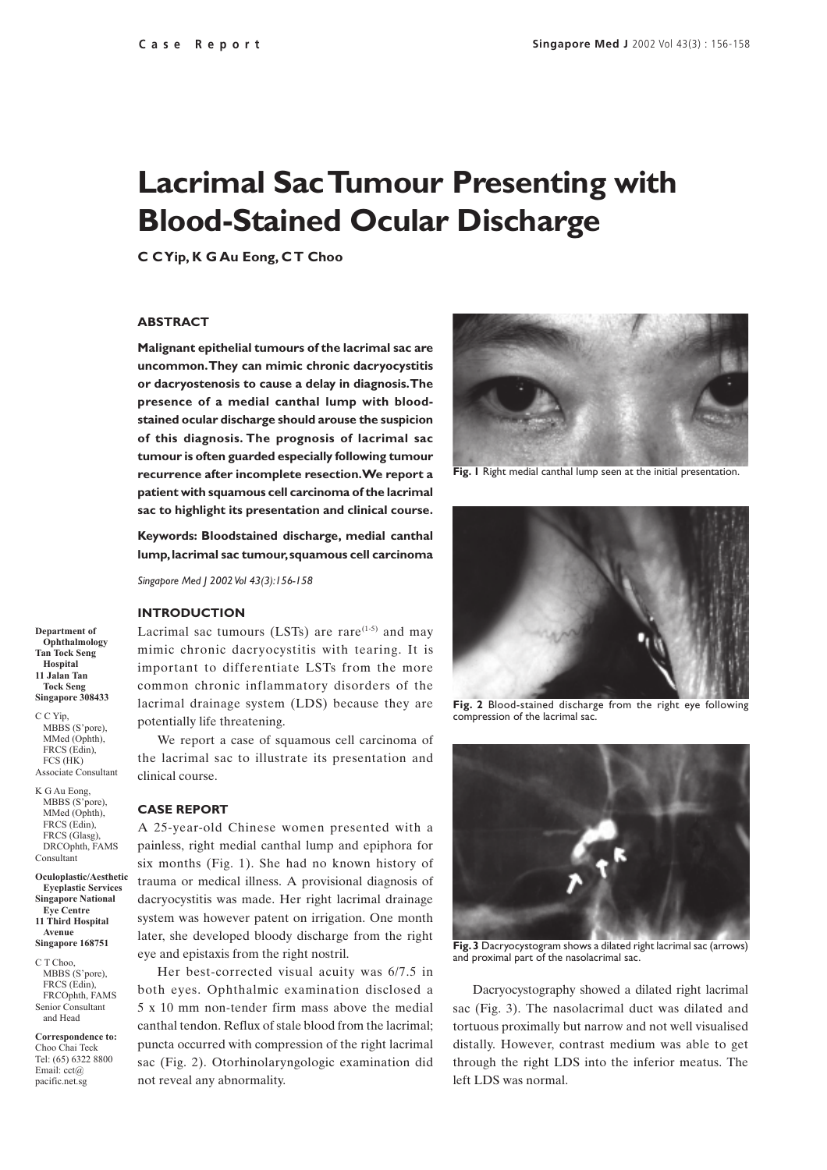# **Lacrimal Sac Tumour Presenting with Blood-Stained Ocular Discharge**

**C C Yip, K G Au Eong, C T Choo**

# **ABSTRACT**

**Malignant epithelial tumours of the lacrimal sac are uncommon. They can mimic chronic dacryocystitis or dacryostenosis to cause a delay in diagnosis. The presence of a medial canthal lump with bloodstained ocular discharge should arouse the suspicion of this diagnosis. The prognosis of lacrimal sac tumour is often guarded especially following tumour recurrence after incomplete resection. We report a patient with squamous cell carcinoma of the lacrimal sac to highlight its presentation and clinical course.**

**Keywords: Bloodstained discharge, medial canthal lump, lacrimal sac tumour, squamous cell carcinoma**

*Singapore Med J 2002 Vol 43(3):156-158*

### **INTRODUCTION**

Lacrimal sac tumours (LSTs) are rare $(1-5)$  and may mimic chronic dacryocystitis with tearing. It is important to differentiate LSTs from the more common chronic inflammatory disorders of the lacrimal drainage system (LDS) because they are potentially life threatening.

We report a case of squamous cell carcinoma of the lacrimal sac to illustrate its presentation and clinical course.

#### **CASE REPORT**

A 25-year-old Chinese women presented with a painless, right medial canthal lump and epiphora for six months (Fig. 1). She had no known history of trauma or medical illness. A provisional diagnosis of dacryocystitis was made. Her right lacrimal drainage system was however patent on irrigation. One month later, she developed bloody discharge from the right eye and epistaxis from the right nostril.

Her best-corrected visual acuity was 6/7.5 in both eyes. Ophthalmic examination disclosed a 5 x 10 mm non-tender firm mass above the medial canthal tendon. Reflux of stale blood from the lacrimal; puncta occurred with compression of the right lacrimal sac (Fig. 2). Otorhinolaryngologic examination did not reveal any abnormality.



**Fig. I** Right medial canthal lump seen at the initial presentation.



**Fig. 2** Blood-stained discharge from the right eye following compression of the lacrimal sac.



**Fig. 3** Dacryocystogram shows a dilated right lacrimal sac (arrows) and proximal part of the nasolacrimal sac.

Dacryocystography showed a dilated right lacrimal sac (Fig. 3). The nasolacrimal duct was dilated and tortuous proximally but narrow and not well visualised distally. However, contrast medium was able to get through the right LDS into the inferior meatus. The left LDS was normal.

**Department of Ophthalmology Tan Tock Seng Hospital 11 Jalan Tan Tock Seng Singapore 308433**

C C Yip, MBBS (S'pore), MMed (Onhth) FRCS (Edin), FCS (HK) Associate Consultant

K G Au Eong, MBBS (S'pore), MMed (Ophth), FRCS (Edin), FRCS (Glasg) DRCOphth, FAMS Consultant

**Oculoplastic/Aesthetic Eyeplastic Services Singapore National Eye Centre 11 Third Hospital Avenue Singapore 168751**

C T Choo, MBBS (S'pore), FRCS (Edin), FRCOphth, FAMS Senior Consultant and Head

**Correspondence to:** Choo Chai Teck Tel: (65) 6322 8800 Email: cct@ pacific.net.sg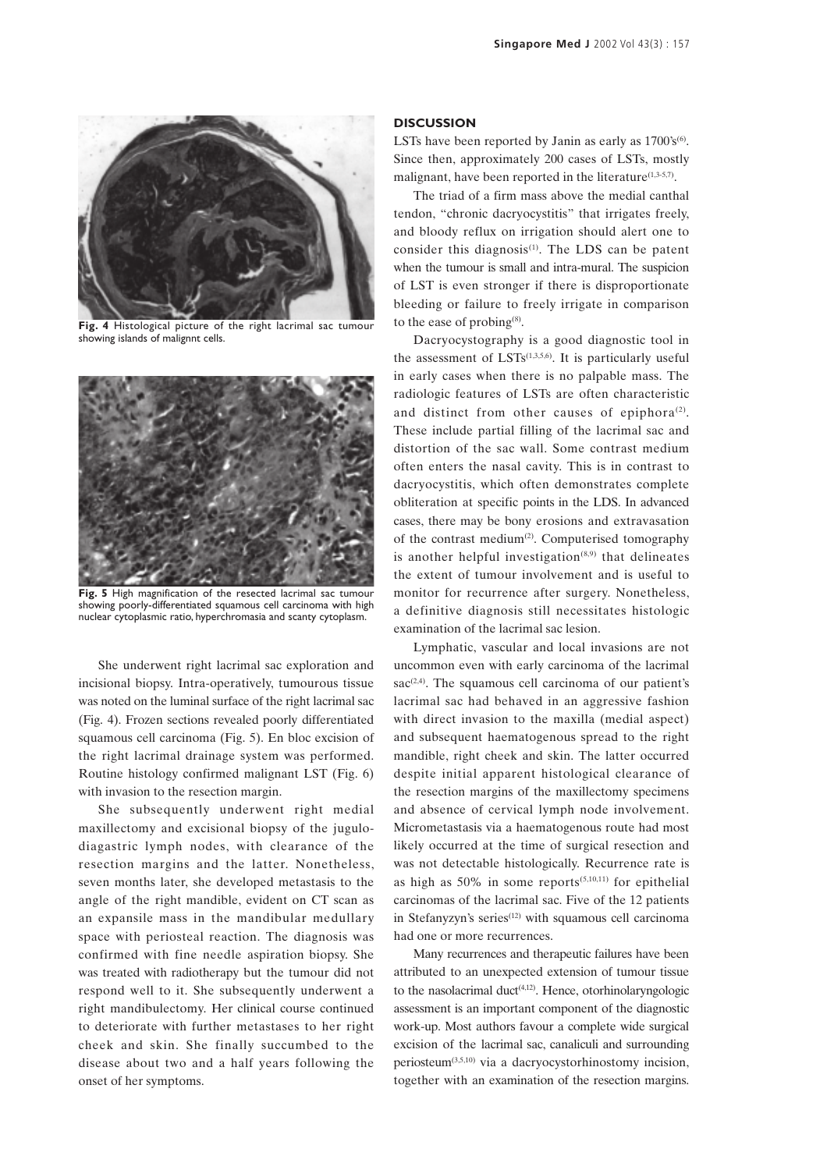

**Fig. 4** Histological picture of the right lacrimal sac tumour showing islands of malignnt cells.



**Fig. 5** High magnification of the resected lacrimal sac tumour showing poorly-differentiated squamous cell carcinoma with high nuclear cytoplasmic ratio, hyperchromasia and scanty cytoplasm.

She underwent right lacrimal sac exploration and incisional biopsy. Intra-operatively, tumourous tissue was noted on the luminal surface of the right lacrimal sac (Fig. 4). Frozen sections revealed poorly differentiated squamous cell carcinoma (Fig. 5). En bloc excision of the right lacrimal drainage system was performed. Routine histology confirmed malignant LST (Fig. 6) with invasion to the resection margin.

She subsequently underwent right medial maxillectomy and excisional biopsy of the jugulodiagastric lymph nodes, with clearance of the resection margins and the latter. Nonetheless, seven months later, she developed metastasis to the angle of the right mandible, evident on CT scan as an expansile mass in the mandibular medullary space with periosteal reaction. The diagnosis was confirmed with fine needle aspiration biopsy. She was treated with radiotherapy but the tumour did not respond well to it. She subsequently underwent a right mandibulectomy. Her clinical course continued to deteriorate with further metastases to her right cheek and skin. She finally succumbed to the disease about two and a half years following the onset of her symptoms.

# **DISCUSSION**

LSTs have been reported by Janin as early as  $1700's^{(6)}$ . Since then, approximately 200 cases of LSTs, mostly malignant, have been reported in the literature $(1,3-5,7)$ .

The triad of a firm mass above the medial canthal tendon, "chronic dacryocystitis" that irrigates freely, and bloody reflux on irrigation should alert one to consider this diagnosis $(1)$ . The LDS can be patent when the tumour is small and intra-mural. The suspicion of LST is even stronger if there is disproportionate bleeding or failure to freely irrigate in comparison to the ease of probing $(8)$ .

Dacryocystography is a good diagnostic tool in the assessment of  $LSTs^{(1,3,5,6)}$ . It is particularly useful in early cases when there is no palpable mass. The radiologic features of LSTs are often characteristic and distinct from other causes of epiphora<sup>(2)</sup>. These include partial filling of the lacrimal sac and distortion of the sac wall. Some contrast medium often enters the nasal cavity. This is in contrast to dacryocystitis, which often demonstrates complete obliteration at specific points in the LDS. In advanced cases, there may be bony erosions and extravasation of the contrast medium<sup>(2)</sup>. Computerised tomography is another helpful investigation $(8,9)$  that delineates the extent of tumour involvement and is useful to monitor for recurrence after surgery. Nonetheless, a definitive diagnosis still necessitates histologic examination of the lacrimal sac lesion.

Lymphatic, vascular and local invasions are not uncommon even with early carcinoma of the lacrimal  $sac^{(2,4)}$ . The squamous cell carcinoma of our patient's lacrimal sac had behaved in an aggressive fashion with direct invasion to the maxilla (medial aspect) and subsequent haematogenous spread to the right mandible, right cheek and skin. The latter occurred despite initial apparent histological clearance of the resection margins of the maxillectomy specimens and absence of cervical lymph node involvement. Micrometastasis via a haematogenous route had most likely occurred at the time of surgical resection and was not detectable histologically. Recurrence rate is as high as  $50\%$  in some reports<sup> $(5,10,11)$ </sup> for epithelial carcinomas of the lacrimal sac. Five of the 12 patients in Stefanyzyn's series $(12)$  with squamous cell carcinoma had one or more recurrences.

Many recurrences and therapeutic failures have been attributed to an unexpected extension of tumour tissue to the nasolacrimal duct<sup> $(4,12)$ </sup>. Hence, otorhinolaryngologic assessment is an important component of the diagnostic work-up. Most authors favour a complete wide surgical excision of the lacrimal sac, canaliculi and surrounding periosteum(3,5,10) via a dacryocystorhinostomy incision, together with an examination of the resection margins.